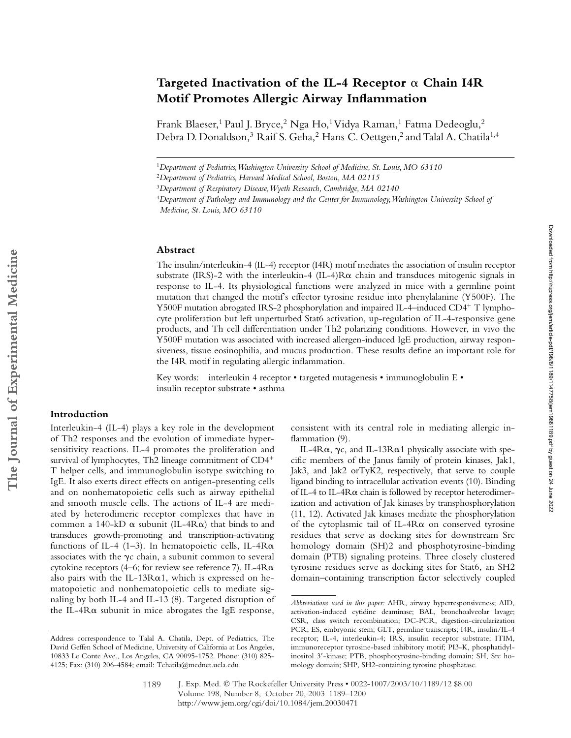# Targeted Inactivation of the IL-4 Receptor  $\alpha$  Chain I4R **Motif Promotes Allergic Airway Inflammation**

Frank Blaeser,<sup>1</sup> Paul J. Bryce,<sup>2</sup> Nga Ho,<sup>1</sup> Vidya Raman,<sup>1</sup> Fatma Dedeoglu,<sup>2</sup> Debra D. Donaldson,<sup>3</sup> Raif S. Geha,<sup>2</sup> Hans C. Oettgen,<sup>2</sup> and Talal A. Chatila<sup>1,4</sup>

<sup>1</sup>*Department of Pediatrics, Washington University School of Medicine, St. Louis, MO 63110*

<sup>2</sup>*Department of Pediatrics, Harvard Medical School, Boston, MA 02115*

#### **Abstract**

The insulin/interleukin-4 (IL-4) receptor (I4R) motif mediates the association of insulin receptor substrate (IRS)-2 with the interleukin-4 (IL-4)R $\alpha$  chain and transduces mitogenic signals in response to IL-4. Its physiological functions were analyzed in mice with a germline point mutation that changed the motif's effector tyrosine residue into phenylalanine (Y500F). The Y500F mutation abrogated IRS-2 phosphorylation and impaired IL-4–induced CD4<sup>+</sup> T lymphocyte proliferation but left unperturbed Stat6 activation, up-regulation of IL-4-responsive gene products, and Th cell differentiation under Th2 polarizing conditions. However, in vivo the Y500F mutation was associated with increased allergen-induced IgE production, airway responsiveness, tissue eosinophilia, and mucus production. These results define an important role for the I4R motif in regulating allergic inflammation.

Key words: interleukin 4 receptor • targeted mutagenesis • immunoglobulin E • insulin receptor substrate • asthma

## **Introduction**

Interleukin-4 (IL-4) plays a key role in the development of Th2 responses and the evolution of immediate hypersensitivity reactions. IL-4 promotes the proliferation and survival of lymphocytes, Th2 lineage commitment of CD4<sup>+</sup> T helper cells, and immunoglobulin isotype switching to IgE. It also exerts direct effects on antigen-presenting cells and on nonhematopoietic cells such as airway epithelial and smooth muscle cells. The actions of IL-4 are mediated by heterodimeric receptor complexes that have in common a 140-kD  $\alpha$  subunit (IL-4R $\alpha$ ) that binds to and transduces growth-promoting and transcription-activating functions of IL-4 (1-3). In hematopoietic cells, IL-4R $\alpha$ associates with the  $\gamma c$  chain, a subunit common to several cytokine receptors (4–6; for review see reference 7). IL-4R $\alpha$ also pairs with the IL-13 $R\alpha$ 1, which is expressed on hematopoietic and nonhematopoietic cells to mediate signaling by both IL-4 and IL-13 (8). Targeted disruption of the IL-4R $\alpha$  subunit in mice abrogates the IgE response,

consistent with its central role in mediating allergic inflammation (9).

IL-4R $\alpha$ ,  $\gamma$ c, and IL-13R $\alpha$ 1 physically associate with specific members of the Janus family of protein kinases, Jak1, Jak3, and Jak2 orTyK2, respectively, that serve to couple ligand binding to intracellular activation events (10). Binding of IL-4 to IL-4 $R\alpha$  chain is followed by receptor heterodimerization and activation of Jak kinases by transphosphorylation (11, 12). Activated Jak kinases mediate the phosphorylation of the cytoplasmic tail of IL-4R $\alpha$  on conserved tyrosine residues that serve as docking sites for downstream Src homology domain (SH)2 and phosphotyrosine-binding domain (PTB) signaling proteins. Three closely clustered tyrosine residues serve as docking sites for Stat6, an SH2 domain–containing transcription factor selectively coupled

<sup>3</sup>*Department of Respiratory Disease, Wyeth Research, Cambridge, MA 02140*

<sup>4</sup>*Department of Pathology and Immunology and the Center for Immunology, Washington University School of Medicine, St. Louis, MO 63110*

Address correspondence to Talal A. Chatila, Dept. of Pediatrics, The David Geffen School of Medicine, University of California at Los Angeles, 10833 Le Conte Ave., Los Angeles, CA 90095-1752. Phone: (310) 825- 4125; Fax: (310) 206-4584; email: Tchatila@mednet.ucla.edu

*Abbreviations used in this paper:* AHR, airway hyperresponsiveness; AID, activation-induced cytidine deaminase; BAL, bronchoalveolar lavage; CSR, class switch recombination; DC-PCR, digestion-circularization PCR; ES, embryonic stem; GLT, germline transcripts; I4R, insulin/IL-4 receptor; IL-4, interleukin-4; IRS, insulin receptor substrate; ITIM, immunoreceptor tyrosine-based inhibitory motif; PI3-K, phosphatidylinositol 3-kinase; PTB, phosphotyrosine-binding domain; SH, Src homology domain; SHP, SH2-containing tyrosine phosphatase.

J. Exp. Med. © The Rockefeller University Press • 0022-1007/2003/10/1189/12 \$8.00 Volume 198, Number 8, October 20, 2003 1189–1200 http://www.jem.org/cgi/doi/10.1084/jem.20030471 1189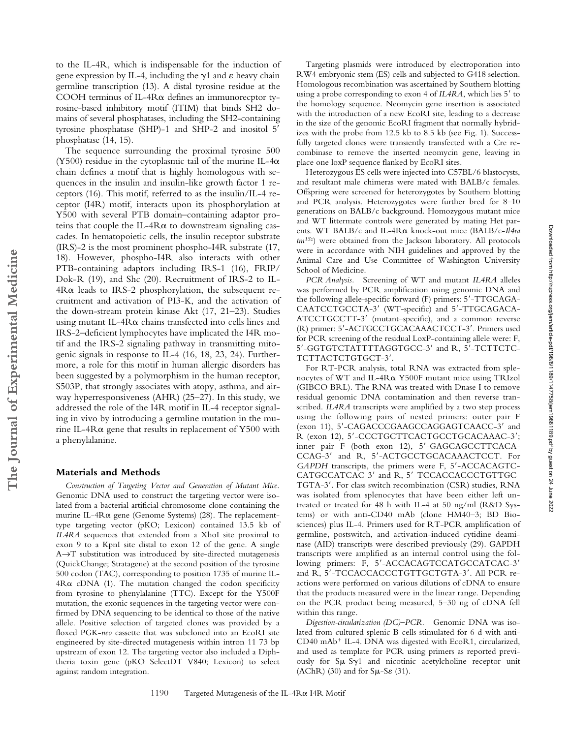to the IL-4R, which is indispensable for the induction of gene expression by IL-4, including the  $\gamma$ 1 and  $\varepsilon$  heavy chain germline transcription (13). A distal tyrosine residue at the COOH terminus of IL-4R $\alpha$  defines an immunorecptor tyrosine-based inhibitory motif (ITIM) that binds SH2 domains of several phosphatases, including the SH2-containing tyrosine phosphatase (SHP)-1 and SHP-2 and inositol 5' phosphatase (14, 15).

The sequence surrounding the proximal tyrosine 500 (Y500) residue in the cytoplasmic tail of the murine IL-4 $\alpha$ chain defines a motif that is highly homologous with sequences in the insulin and insulin-like growth factor 1 receptors (16). This motif, referred to as the insulin/IL-4 receptor (I4R) motif, interacts upon its phosphorylation at Y500 with several PTB domain–containing adaptor proteins that couple the IL-4R $\alpha$  to downstream signaling cascades. In hematopoietic cells, the insulin receptor substrate (IRS)-2 is the most prominent phospho-I4R substrate (17, 18). However, phospho-I4R also interacts with other PTB-containing adaptors including IRS-1 (16), FRIP/ Dok-R (19), and Shc (20). Recruitment of IRS-2 to IL-4 Rα leads to IRS-2 phosphorylation, the subsequent recruitment and activation of PI3-K, and the activation of the down-stream protein kinase Akt (17, 21–23). Studies using mutant IL-4 $R\alpha$  chains transfected into cells lines and IRS-2–deficient lymphocytes have implicated the I4R motif and the IRS-2 signaling pathway in transmitting mitogenic signals in response to IL-4 (16, 18, 23, 24). Furthermore, a role for this motif in human allergic disorders has been suggested by a polymorphism in the human receptor, S503P, that strongly associates with atopy, asthma, and airway hyperresponsiveness (AHR) (25–27). In this study, we addressed the role of the I4R motif in IL-4 receptor signaling in vivo by introducing a germline mutation in the murine IL-4 $R\alpha$  gene that results in replacement of Y500 with a phenylalanine.

### **Materials and Methods**

**The Journal of Experimental Medicine**

The Journal of Experimental Medicine

*Construction of Targeting Vector and Generation of Mutant Mice.* Genomic DNA used to construct the targeting vector were isolated from a bacterial artificial chromosome clone containing the murine IL-4R $\alpha$  gene (Genome Systems) (28). The replacementtype targeting vector (pKO; Lexicon) contained 13.5 kb of *IL4RA* sequences that extended from a XhoI site proximal to exon 9 to a KpnI site distal to exon 12 of the gene. A single A→T substitution was introduced by site-directed mutagenesis (QuickChange; Stratagene) at the second position of the tyrosine 500 codon (TAC), corresponding to position 1735 of murine IL- $4R\alpha$  cDNA (1). The mutation changed the codon specificity from tyrosine to phenylalanine (TTC). Except for the Y500F mutation, the exonic sequences in the targeting vector were confirmed by DNA sequencing to be identical to those of the native allele. Positive selection of targeted clones was provided by a floxed PGK-*neo* cassette that was subcloned into an EcoRI site engineered by site-directed mutagenesis within intron 11 73 bp upstream of exon 12. The targeting vector also included a Diphtheria toxin gene (pKO SelectDT V840; Lexicon) to select against random integration.

Targeting plasmids were introduced by electroporation into RW4 embryonic stem (ES) cells and subjected to G418 selection. Homologous recombination was ascertained by Southern blotting using a probe corresponding to exon 4 of *IL4RA*, which lies 5' to the homology sequence. Neomycin gene insertion is associated with the introduction of a new EcoRI site, leading to a decrease in the size of the genomic EcoRI fragment that normally hybridizes with the probe from 12.5 kb to 8.5 kb (see Fig. 1). Successfully targeted clones were transiently transfected with a Cre recombinase to remove the inserted neomycin gene, leaving in place one loxP sequence flanked by EcoRI sites.

Heterozygous ES cells were injected into C57BL/6 blastocysts, and resultant male chimeras were mated with BALB/c females. Offspring were screened for heterozygotes by Southern blotting and PCR analysis. Heterozygotes were further bred for 8–10 generations on BALB/c background. Homozygous mutant mice and WT littermate controls were generated by mating Het parents. WT BALB/c and IL-4Rα knock-out mice (BALB/c-Il4ra *tm1Sz*) were obtained from the Jackson laboratory. All protocols were in accordance with NIH guidelines and approved by the Animal Care and Use Committee of Washington University School of Medicine.

*PCR Analysis.* Screening of WT and mutant *IL4RA* alleles was performed by PCR amplification using genomic DNA and the following allele-specific forward (F) primers: 5'-TTGCAGA-CAATCCTGCCTA-3' (WT-specific) and 5'-TTGCAGACA-ATCCTGCCTT-3' (mutant-specific), and a common reverse (R) primer: 5-ACTGCCTGCACAAACTCCT-3. Primers used for PCR screening of the residual LoxP-containing allele were: F, 5-GGTGTCTATTTTAGGTGCC-3 and R, 5-TCTTCTC-TCTTACTCTGTGCT-3'.

For RT-PCR analysis, total RNA was extracted from splenocytes of WT and IL-4R& Y500F mutant mice using TRIzol (GIBCO BRL). The RNA was treated with Dnase I to remove residual genomic DNA contamination and then reverse transcribed. *IL4RA* transcripts were amplified by a two step process using the following pairs of nested primers: outer pair F (exon 11), 5'-CAGACCCGAAGCCAGGAGTCAACC-3' and R (exon 12), 5'-CCCTGCTTCACTGCCTGCACAAAC-3'; inner pair F (both exon 12), 5-GAGCAGCCTTCACA-CCAG-3' and R, 5'-ACTGCCTGCACAAACTCCT. For GAPDH transcripts, the primers were F, 5'-ACCACAGTC-CATGCCATCAC-3' and R, 5'-TCCACCACCCTGTTGC-TGTA-3'. For class switch recombination (CSR) studies, RNA was isolated from splenocytes that have been either left untreated or treated for 48 h with IL-4 at 50 ng/ml (R&D Systems) or with anti-CD40 mAb (clone HM40–3; BD Biosciences) plus IL-4. Primers used for RT-PCR amplification of germline, postswitch, and activation-induced cytidine deaminase (AID) transcripts were described previously (29). GAPDH transcripts were amplified as an internal control using the following primers: F, 5'-ACCACAGTCCATGCCATCAC-3' and R, 5'-TCCACCACCCTGTTGCTGTA-3'. All PCR reactions were performed on various dilutions of cDNA to ensure that the products measured were in the linear range. Depending on the PCR product being measured, 5–30 ng of cDNA fell within this range.

*Digestion-circularization (DC)–PCR.* Genomic DNA was isolated from cultured splenic B cells stimulated for 6 d with anti-CD40 mAb<sup>+</sup> IL-4. DNA was digested with EcoR1, circularized, and used as template for PCR using primers as reported previously for  $S\mu-S\gamma1$  and nicotinic acetylcholine receptor unit  $(AChR)$  (30) and for  $S\mu-S\epsilon$  (31).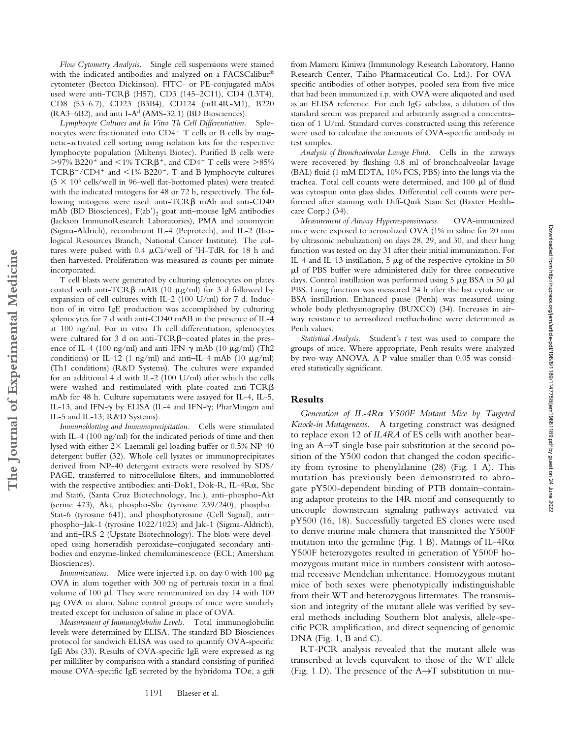*Flow Cytometry Analysis.* Single cell suspensions were stained with the indicated antibodies and analyzed on a FACSCalibur® cytometer (Becton Dickinson). FITC- or PE-conjugated mAbs used were anti-TCR $\beta$  (H57), CD3 (145–2C11), CD4 (L3T4), CD8 (53–6.7), CD23 (B3B4), CD124 (mIL4R-M1), B220 (RA3–6B2), and anti I-A<sup>d</sup> (AMS-32.1) (BD Biosciences).

*Lymphocyte Cultures and In Vitro Th Cell Differentiation.* Splenocytes were fractionated into CD4+ T cells or B cells by magnetic-activated cell sorting using isolation kits for the respective lymphocyte population (Miltenyi Biotec). Purified B cells were  $>$ 97% B220<sup>+</sup> and  $\lt$ 1% TCR $\beta$ <sup>+</sup>, and CD4<sup>+</sup> T cells were  $>$ 85%  $TCR\beta^+ / CD4^+$  and  $\leq 1\%$  B220<sup>+</sup>. T and B lymphocyte cultures  $(5 \times 10^5 \text{ cells/well in } 96$ -well flat-bottomed plates) were treated with the indicated mitogens for 48 or 72 h, respectively. The following mitogens were used: anti- $TCR\beta$  mAb and anti- $CD40$ mAb (BD Biosciences),  $F(ab')_2$  goat anti-mouse IgM antibodies (Jackson ImmunoResearch Laboratories), PMA and ionomycin (Sigma-Aldrich), recombinant IL-4 (Peprotech), and IL-2 (Biological Resources Branch, National Cancer Institute). The cultures were pulsed with 0.4  $\mu$ Ci/well of <sup>3</sup>H-TdR for 18 h and then harvested. Proliferation was measured as counts per minute incorporated.

T cell blasts were generated by culturing splenocytes on plates coated with anti-TCR $\beta$  mAB (10  $\mu$ g/ml) for 3 d followed by expansion of cell cultures with IL-2 (100 U/ml) for 7 d. Induction of in vitro IgE production was accomplished by culturing splenocytes for 7 d with anti-CD40 mAB in the presence of IL-4 at 100 ng/ml. For in vitro Th cell differentiation, splenocytes were cultured for 3 d on anti-TCR $\beta$ -coated plates in the presence of IL-4 (100 ng/ml) and anti-IFN- $\gamma$  mAb (10  $\mu$ g/ml) (Th2 conditions) or IL-12 (1 ng/ml) and anti-IL-4 mAb (10  $\mu$ g/ml) (Th1 conditions) (R&D Systems). The cultures were expanded for an additional 4 d with IL-2 (100 U/ml) after which the cells were washed and restimulated with plate-coated anti-TCR $\beta$ mAb for 48 h. Culture supernatants were assayed for IL-4, IL-5, IL-13, and IFN- $\gamma$  by ELISA (IL-4 and IFN- $\gamma$ ; PharMingen and IL-5 and IL-13; R&D Systems).

**The Journal of Experimental Medicine**

The Journal of Experimental Medicine

*Immunoblotting and Immunoprecipitation.* Cells were stimulated with IL-4 (100 ng/ml) for the indicated periods of time and then lysed with either  $2\times$  Laemmli gel loading buffer or 0.5% NP-40 detergent buffer (32). Whole cell lysates or immunoprecipitates derived from NP-40 detergent extracts were resolved by SDS/ PAGE, transferred to nitrocellulose filters, and immunoblotted with the respective antibodies: anti-Dok1, Dok-R, IL-4Ra, Shc and Stat6, (Santa Cruz Biotechnology, Inc.), anti–phospho-Akt (serine 473), Akt, phospho-Shc (tyrosine 239/240), phospho– Stat-6 (tyrosine 641), and phosphotyrosine (Cell Signal), anti– phospho–Jak-1 (tyrosine 1022/1023) and Jak-1 (Sigma-Aldrich), and anti–IRS-2 (Upstate Biotechnology). The blots were developed using horseradish peroxidase–conjugated secondary antibodies and enzyme-linked chemiluminescence (ECL; Amersham Biosciences).

*Immunizations.* Mice were injected i.p. on day 0 with 100  $\mu$ g OVA in alum together with 300 ng of pertussis toxin in a final volume of 100  $\mu$ l. They were reimmunized on day 14 with 100  $\mu$ g OVA in alum. Saline control groups of mice were similarly treated except for inclusion of saline in place of OVA.

*Measurement of Immunoglobulin Levels.* Total immunoglobulin levels were determined by ELISA. The standard BD Biosciences protocol for sandwich ELISA was used to quantify OVA-specific IgE Abs (33). Results of OVA-specific IgE were expressed as ng per milliliter by comparison with a standard consisting of purified mouse OVA-specific IgE secreted by the hybridoma TO $\varepsilon$ , a gift

from Mamoru Kiniwa (Immunology Research Laboratory, Hanno Research Center, Taiho Pharmaceutical Co. Ltd.). For OVAspecific antibodies of other isotypes, pooled sera from five mice that had been immunized i.p. with OVA were aliquoted and used as an ELISA reference. For each IgG subclass, a dilution of this standard serum was prepared and arbitrarily assigned a concentration of 1 U/ml. Standard curves constructed using this reference were used to calculate the amounts of OVA-specific antibody in test samples.

*Analysis of Bronchoalveolar Lavage Fluid.* Cells in the airways were recovered by flushing 0.8 ml of bronchoalveolar lavage (BAL) fluid (1 mM EDTA, 10% FCS, PBS) into the lungs via the trachea. Total cell counts were determined, and  $100 \mu l$  of fluid was cytospun onto glass slides. Differential cell counts were performed after staining with Diff-Quik Stain Set (Baxter Healthcare Corp.) (34).

*Measurement of Airway Hyperresponsiveness.* OVA-immunized mice were exposed to aerosolized OVA (1% in saline for 20 min by ultrasonic nebulization) on days 28, 29, and 30, and their lung function was tested on day 31 after their initial immunization. For IL-4 and IL-13 instillation,  $5 \mu g$  of the respective cytokine in  $50$ l of PBS buffer were administered daily for three consecutive days. Control instillation was performed using  $5 \mu g BSA$  in  $50 \mu l$ PBS. Lung function was measured 24 h after the last cytokine or BSA instillation. Enhanced pause (Penh) was measured using whole body plethysmography (BUXCO) (34). Increases in airway resistance to aerosolized methacholine were determined as Penh values.

*Statistical Analysis.* Student's *t* test was used to compare the groups of mice. Where appropriate, Penh results were analyzed by two-way ANOVA. A P value smaller than 0.05 was considered statistically significant.

## **Results**

Generation of IL-4R $\alpha$  Y500F Mutant Mice by Targeted *Knock-in Mutagenesis.* A targeting construct was designed to replace exon 12 of *IL4RA* of ES cells with another bearing an A→T single base pair substitution at the second position of the Y500 codon that changed the codon specificity from tyrosine to phenylalanine (28) (Fig. 1 A). This mutation has previously been demonstrated to abrogate pY500-dependent binding of PTB domain–containing adaptor proteins to the I4R motif and consequently to uncouple downstream signaling pathways activated via pY500 (16, 18). Successfully targeted ES clones were used to derive murine male chimera that transmitted the Y500F mutation into the germline (Fig. 1 B). Matings of IL-4R $\alpha$ Y500F heterozygotes resulted in generation of Y500F homozygous mutant mice in numbers consistent with autosomal recessive Mendelian inheritance. Homozygous mutant mice of both sexes were phenotypically indistinguishable from their WT and heterozygous littermates. The transmission and integrity of the mutant allele was verified by several methods including Southern blot analysis, allele-specific PCR amplification, and direct sequencing of genomic DNA (Fig. 1, B and C).

RT-PCR analysis revealed that the mutant allele was transcribed at levels equivalent to those of the WT allele (Fig. 1 D). The presence of the  $A \rightarrow T$  substitution in mu-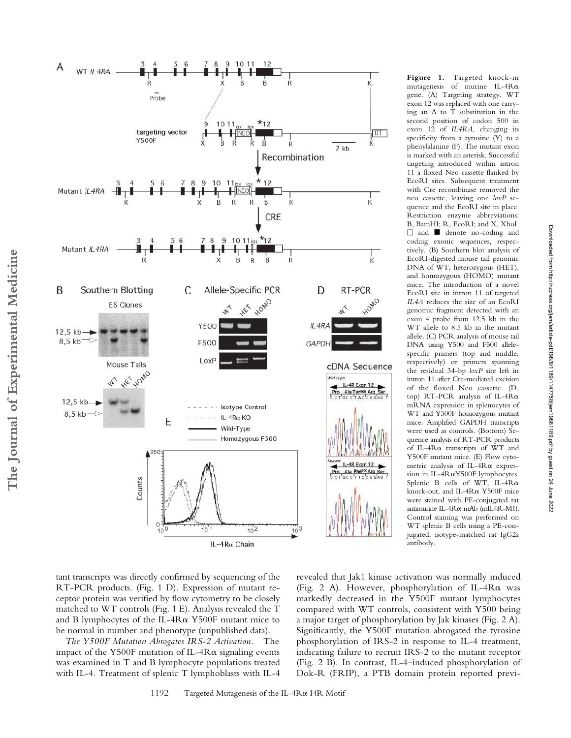

**Figure 1.** Targeted knock-in mutagenesis of murine IL-4R $\alpha$ gene. (A) Targeting strategy. WT exon 12 was replaced with one carrying an A to T substitution in the second position of codon 500 in exon 12 of *IL4RA*, changing its specificity from a tyrosine (Y) to a phenylalanine (F). The mutant exon is marked with an asterisk. Successful targeting introduced within intron 11 a floxed Neo cassette flanked by EcoRI sites. Subsequent treatment with Cre recombinase removed the neo cassette, leaving one *loxP* sequence and the EcoRI site in place. Restriction enzyme abbreviations: B, BamHI; R, EcoRI; and X, XhoI. - and denote no-coding and coding exonic sequences, respectively. (B) Southern blot analysis of EcoRI-digested mouse tail genomic DNA of WT, heterozygous (HET), and homozygous (HOMO) mutant mice. The introduction of a novel EcoRI site in intron 11 of targeted *IL4A* reduces the size of an EcoRI genomic fragment detected with an exon 4 probe from 12.5 kb in the WT allele to 8.5 kb in the mutant allele. (C) PCR analysis of mouse tail DNA using Y500 and F500 allelespecific primers (top and middle, respectively) or primers spanning the residual 34-bp *loxP* site left in intron 11 after Cre-mediated excision of the floxed Neo cassette. (D, top)  $RT$ -PCR analysis of IL-4R $\alpha$ mRNA expression in splenocytes of WT and Y500F homozygous mutant mice. Amplified GAPDH transcripts were used as controls. (Bottom) Sequence analysis of RT-PCR products of IL-4R $\alpha$  transcripts of WT and Y500F mutant mice. (E) Flow cytometric analysis of IL-4R $\alpha$  expression in IL-4R&Y500F lymphocytes. Splenic B cells of WT, IL-4R $\alpha$ knock-out, and IL-4R $\alpha$  Y500F mice were stained with PE-conjugated rat antimurine IL-4R $\alpha$  mAb (mIL4R-M1). Control staining was performed on WT splenic B cells using a PE-conjugated, isotype-matched rat IgG2a antibody.

Downloaded from http://rupress.org/jem/article-pdf/198/8/1189/1147758/jem19881189.pdf by guest on 24 June 2022

Downloaded from http://rupress.org/jem/article-pdf/198/8/1198/1147758/jem19881189.pdf by guest on 24 June 2022

tant transcripts was directly confirmed by sequencing of the RT-PCR products. (Fig. 1 D). Expression of mutant receptor protein was verified by flow cytometry to be closely matched to WT controls (Fig. 1 E). Analysis revealed the T and B lymphocytes of the IL- $4R\alpha$  Y500F mutant mice to be normal in number and phenotype (unpublished data).

*The Y500F Mutation Abrogates IRS-2 Activation.* The impact of the Y500F mutation of IL-4R $\alpha$  signaling events was examined in T and B lymphocyte populations treated with IL-4. Treatment of splenic T lymphoblasts with IL-4 revealed that Jak1 kinase activation was normally induced (Fig. 2 A). However, phosphorylation of IL-4R $\alpha$  was markedly decreased in the Y500F mutant lymphocytes compared with WT controls, consistent with Y500 being a major target of phosphorylation by Jak kinases (Fig. 2 A). Significantly, the Y500F mutation abrogated the tyrosine phosphorylation of IRS-2 in response to IL-4 treatment, indicating failure to recruit IRS-2 to the mutant receptor (Fig. 2 B). In contrast, IL-4–induced phosphorylation of Dok-R (FRIP), a PTB domain protein reported previ-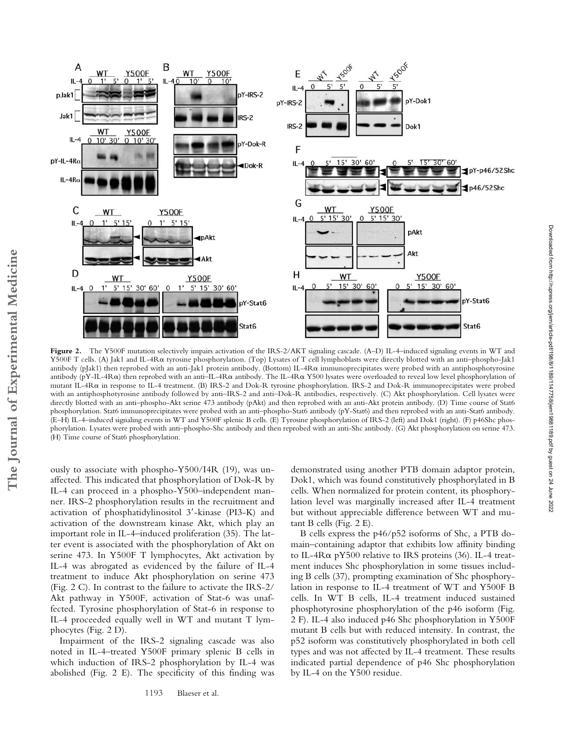

**Figure 2.** The Y500F mutation selectively impairs activation of the IRS-2/AKT signaling cascade. (A–D) IL-4–induced signaling events in WT and Y500F T cells. (A) Jak1 and IL-4R& tyrosine phosphorylation. (Top) Lysates of T cell lymphoblasts were directly blotted with an anti–phospho-Jak1 antibody (pJak1) then reprobed with an anti-Jak1 protein antibody. (Bottom) IL-4R $\alpha$  immunoprecipitates were probed with an antiphosphotyrosine antibody (pY-IL-4R $\alpha$ ) then reprobed with an anti–IL-4R $\alpha$  antibody. The IL-4R $\alpha$  Y500 lysates were overloaded to reveal low level phosphorylation of mutant IL-4R $\alpha$  in response to IL-4 treatment. (B) IRS-2 and Dok-R tyrosine phosphorylation. IRS-2 and Dok-R immunoprecipitates were probed with an antiphosphotyrosine antibody followed by anti–IRS-2 and anti–Dok-R antibodies, respectively. (C) Akt phosphorylation. Cell lysates were directly blotted with an anti–phospho-Akt serine 473 antibody (pAkt) and then reprobed with an anti-Akt protein antibody. (D) Time course of Stat6 phosphorylation. Stat6 immunoprecipitates were probed with an anti–phospho-Stat6 antibody (pY-Stat6) and then reprobed with an anti-Stat6 antibody. (E–H) IL-4–induced signaling events in WT and Y500F splenic B cells. (E) Tyrosine phosphorylation of IRS-2 (left) and Dok1 (right). (F) p46Shc phosphorylation. Lysates were probed with anti–phospho-Shc antibody and then reprobed with an anti-Shc antibody. (G) Akt phosphorylation on serine 473. (H) Time course of Stat6 phosphorylation.

ously to associate with phospho-Y500/I4R (19), was unaffected. This indicated that phosphorylation of Dok-R by IL-4 can proceed in a phospho-Y500–independent manner. IRS-2 phosphorylation results in the recruitment and activation of phosphatidylinositol 3'-kinase (PI3-K) and activation of the downstream kinase Akt, which play an important role in IL-4–induced proliferation (35). The latter event is associated with the phosphorylation of Akt on serine 473. In Y500F T lymphocytes, Akt activation by IL-4 was abrogated as evidenced by the failure of IL-4 treatment to induce Akt phosphorylation on serine 473 (Fig. 2 C). In contrast to the failure to activate the IRS-2/ Akt pathway in Y500F, activation of Stat-6 was unaffected. Tyrosine phosphorylation of Stat-6 in response to IL-4 proceeded equally well in WT and mutant T lymphocytes (Fig. 2 D).

Impairment of the IRS-2 signaling cascade was also noted in IL-4–treated Y500F primary splenic B cells in which induction of IRS-2 phosphorylation by IL-4 was abolished (Fig. 2 E). The specificity of this finding was

demonstrated using another PTB domain adaptor protein, Dok1, which was found constitutively phosphorylated in B cells. When normalized for protein content, its phosphorylation level was marginally increased after IL-4 treatment but without appreciable difference between WT and mutant B cells (Fig. 2 E).

B cells express the p46/p52 isoforms of Shc, a PTB domain–containing adaptor that exhibits low affinity binding to IL-4 $R\alpha$  pY500 relative to IRS proteins (36). IL-4 treatment induces Shc phosphorylation in some tissues including B cells (37), prompting examination of Shc phosphorylation in response to IL-4 treatment of WT and Y500F B cells. In WT B cells, IL-4 treatment induced sustained phosphotyrosine phosphorylation of the p46 isoform (Fig. 2 F). IL-4 also induced p46 Shc phosphorylation in Y500F mutant B cells but with reduced intensity. In contrast, the p52 isoform was constitutively phosphorylated in both cell types and was not affected by IL-4 treatment. These results indicated partial dependence of p46 Shc phosphorylation by IL-4 on the Y500 residue.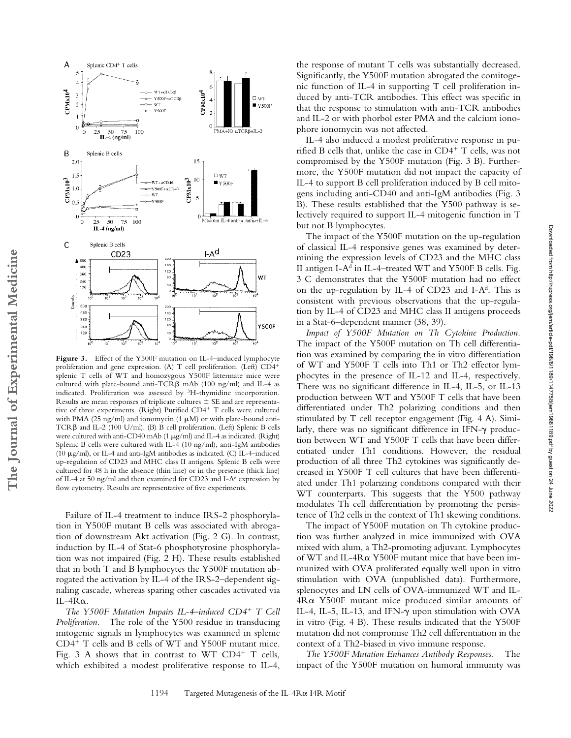

Figure 3. Effect of the Y500F mutation on IL-4-induced lymphocyte proliferation and gene expression. (A) T cell proliferation. (Left) CD4 splenic T cells of WT and homozygous Y500F littermate mice were cultured with plate-bound anti-TCR $\beta$  mAb (100 ng/ml) and IL-4 as indicated. Proliferation was assessed by 3H-thymidine incorporation. Results are mean responses of triplicate cultures  $\pm$  SE and are representative of three experiments. (Right) Purified CD4<sup>+</sup> T cells were cultured with PMA (25 ng/ml) and ionomycin (1  $\mu$ M) or with plate-bound anti-TCR $\beta$  and IL-2 (100 U/ml). (B) B cell proliferation. (Left) Splenic B cells were cultured with anti-CD40 mAb (1  $\mu$ g/ml) and IL-4 as indicated. (Right) Splenic B cells were cultured with IL-4 (10 ng/ml), anti-IgM antibodies (10  $\mu$ g/ml), or IL-4 and anti-IgM antibodies as indicated. (C) IL-4-induced up-regulation of CD23 and MHC class II antigens. Splenic B cells were cultured for 48 h in the absence (thin line) or in the presence (thick line) of IL-4 at 50 ng/ml and then examined for CD23 and I-Ad expression by flow cytometry. Results are representative of five experiments.

**The Journal of Experimental Medicine**

The Journal of Experimental Medicine

Failure of IL-4 treatment to induce IRS-2 phosphorylation in Y500F mutant B cells was associated with abrogation of downstream Akt activation (Fig. 2 G). In contrast, induction by IL-4 of Stat-6 phosphotyrosine phosphorylation was not impaired (Fig. 2 H). These results established that in both T and B lymphocytes the Y500F mutation abrogated the activation by IL-4 of the IRS-2–dependent signaling cascade, whereas sparing other cascades activated via IL-4 $R\alpha$ .

*The Y500F Mutation Impairs IL-4–induced CD4 T Cell Proliferation.* The role of the Y500 residue in transducing mitogenic signals in lymphocytes was examined in splenic  $CD4^+$  T cells and B cells of WT and Y500F mutant mice. Fig. 3 A shows that in contrast to WT  $CD4^+$  T cells, which exhibited a modest proliferative response to IL-4,

the response of mutant T cells was substantially decreased. Significantly, the Y500F mutation abrogated the comitogenic function of IL-4 in supporting T cell proliferation induced by anti-TCR antibodies. This effect was specific in that the response to stimulation with anti-TCR antibodies and IL-2 or with phorbol ester PMA and the calcium ionophore ionomycin was not affected.

IL-4 also induced a modest proliferative response in purified B cells that, unlike the case in  $CD4^+$  T cells, was not compromised by the Y500F mutation (Fig. 3 B). Furthermore, the Y500F mutation did not impact the capacity of IL-4 to support B cell proliferation induced by B cell mitogens including anti-CD40 and anti-IgM antibodies (Fig. 3 B). These results established that the Y500 pathway is selectively required to support IL-4 mitogenic function in T but not B lymphocytes.

The impact of the Y500F mutation on the up-regulation of classical IL-4 responsive genes was examined by determining the expression levels of CD23 and the MHC class II antigen I-A<sup>d</sup> in IL-4–treated WT and Y500F B cells. Fig. 3 C demonstrates that the Y500F mutation had no effect on the up-regulation by IL-4 of CD23 and I-A<sup>d</sup>. This is consistent with previous observations that the up-regulation by IL-4 of CD23 and MHC class II antigens proceeds in a Stat-6–dependent manner (38, 39).

*Impact of Y500F Mutation on Th Cytokine Production.* The impact of the Y500F mutation on Th cell differentiation was examined by comparing the in vitro differentiation of WT and Y500F T cells into Th1 or Th2 effector lymphocytes in the presence of IL-12 and IL-4, respectively. There was no significant difference in IL-4, IL-5, or IL-13 production between WT and Y500F T cells that have been differentiated under Th2 polarizing conditions and then stimulated by T cell receptor engagement (Fig. 4 A). Similarly, there was no significant difference in IFN- $\gamma$  production between WT and Y500F T cells that have been differentiated under Th1 conditions. However, the residual production of all three Th2 cytokines was significantly decreased in Y500F T cell cultures that have been differentiated under Th1 polarizing conditions compared with their WT counterparts. This suggests that the Y500 pathway modulates Th cell differentiation by promoting the persistence of Th2 cells in the context of Th1 skewing conditions.

The impact of Y500F mutation on Th cytokine production was further analyzed in mice immunized with OVA mixed with alum, a Th2-promoting adjuvant. Lymphocytes of WT and IL-4R& Y500F mutant mice that have been immunized with OVA proliferated equally well upon in vitro stimulation with OVA (unpublished data). Furthermore, splenocytes and LN cells of OVA-immunized WT and IL-4R $\alpha$  Y500F mutant mice produced similar amounts of IL-4, IL-5, IL-13, and IFN- $\gamma$  upon stimulation with OVA in vitro (Fig. 4 B). These results indicated that the Y500F mutation did not compromise Th2 cell differentiation in the context of a Th2-biased in vivo immune response.

*The Y500F Mutation Enhances Antibody Responses.* The impact of the Y500F mutation on humoral immunity was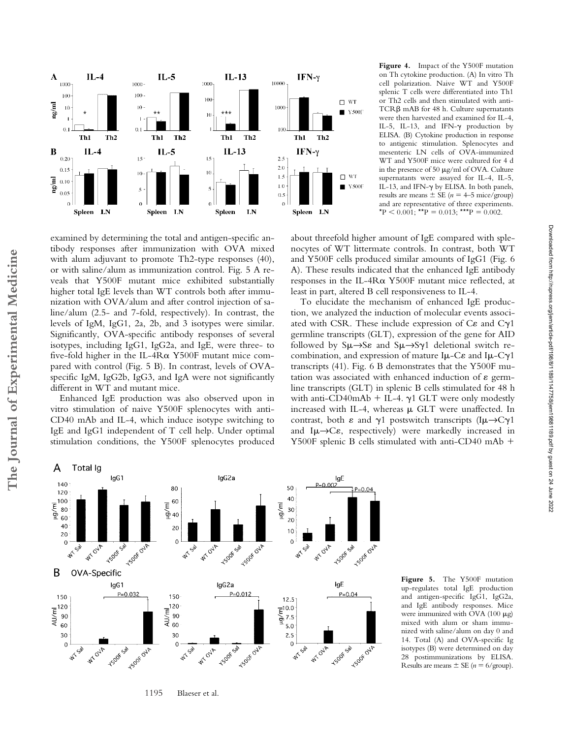

examined by determining the total and antigen-specific antibody responses after immunization with OVA mixed with alum adjuvant to promote Th2-type responses (40), or with saline/alum as immunization control. Fig. 5 A reveals that Y500F mutant mice exhibited substantially higher total IgE levels than WT controls both after immunization with OVA/alum and after control injection of saline/alum (2.5- and 7-fold, respectively). In contrast, the levels of IgM, IgG1, 2a, 2b, and 3 isotypes were similar. Significantly, OVA-specific antibody responses of several isotypes, including IgG1, IgG2a, and IgE, were three- to five-fold higher in the IL-4R $\alpha$  Y500F mutant mice compared with control (Fig. 5 B). In contrast, levels of OVAspecific IgM, IgG2b, IgG3, and IgA were not significantly different in WT and mutant mice.

Enhanced IgE production was also observed upon in vitro stimulation of naive Y500F splenocytes with anti-CD40 mAb and IL-4, which induce isotype switching to IgE and IgG1 independent of T cell help. Under optimal stimulation conditions, the Y500F splenocytes produced

**Figure 4.** Impact of the Y500F mutation on Th cytokine production. (A) In vitro Th cell polarization. Naive WT and Y500F splenic T cells were differentiated into Th1 or Th2 cells and then stimulated with anti-TCR<sub>B</sub> mAB for 48 h. Culture supernatants were then harvested and examined for IL-4, IL-5, IL-13, and IFN- $\gamma$  production by ELISA. (B) Cytokine production in response to antigenic stimulation. Splenocytes and mesenteric LN cells of OVA-immunized WT and Y500F mice were cultured for 4 d in the presence of 50  $\mu$ g/ml of OVA. Culture supernatants were assayed for IL-4, IL-5, IL-13, and IFN- $\gamma$  by ELISA. In both panels, results are means  $\pm$  SE ( $n = 4$ –5 mice/group) and are representative of three experiments. \*P < 0.001; \*\*P = 0.013; \*\*\*P = 0.002.

about threefold higher amount of IgE compared with splenocytes of WT littermate controls. In contrast, both WT and Y500F cells produced similar amounts of IgG1 (Fig. 6 A). These results indicated that the enhanced IgE antibody responses in the IL-4R $\alpha$  Y500F mutant mice reflected, at least in part, altered B cell responsiveness to IL-4.

To elucidate the mechanism of enhanced IgE production, we analyzed the induction of molecular events associated with CSR. These include expression of  $C\epsilon$  and  $C\gamma$ 1 germline transcripts (GLT), expression of the gene for AID followed by  $\text{S}\mu \rightarrow \text{S}\varepsilon$  and  $\text{S}\mu \rightarrow \text{S}\gamma$ 1 deletional switch recombination, and expression of mature  $I\mu$ -C $\varepsilon$  and  $I\mu$ -C $\nu$ 1 transcripts (41). Fig. 6 B demonstrates that the Y500F mutation was associated with enhanced induction of  $\varepsilon$  germline transcripts (GLT) in splenic B cells stimulated for 48 h with anti-CD40mAb  $+$  IL-4.  $\gamma$ 1 GLT were only modestly increased with IL-4, whereas  $\mu$  GLT were unaffected. In contrast, both  $\varepsilon$  and  $\gamma$ 1 postswitch transcripts (Iµ $\rightarrow$ C $\gamma$ 1 and  $I\mu \rightarrow C\varepsilon$ , respectively) were markedly increased in Y500F splenic B cells stimulated with anti-CD40 mAb



**Figure 5.** The Y500F mutation up-regulates total IgE production and antigen-specific IgG1, IgG2a, and IgE antibody responses. Mice were immunized with OVA (100  $\mu$ g) mixed with alum or sham immunized with saline/alum on day 0 and 14. Total (A) and OVA-specific Ig isotypes (B) were determined on day 28 postimmunizations by ELISA. Results are means  $\pm$  SE ( $n = 6$ /group).

Downloaded from http://rupress.org/jem/article-pdf/198/8/1189/1147758/jem19881189.pdf by guest on 24 June 2022

Downloaded from http://rupress.org/jenr/article-pdf/198/8/1147758/jem19881189.pdf by guest on 24 June 2022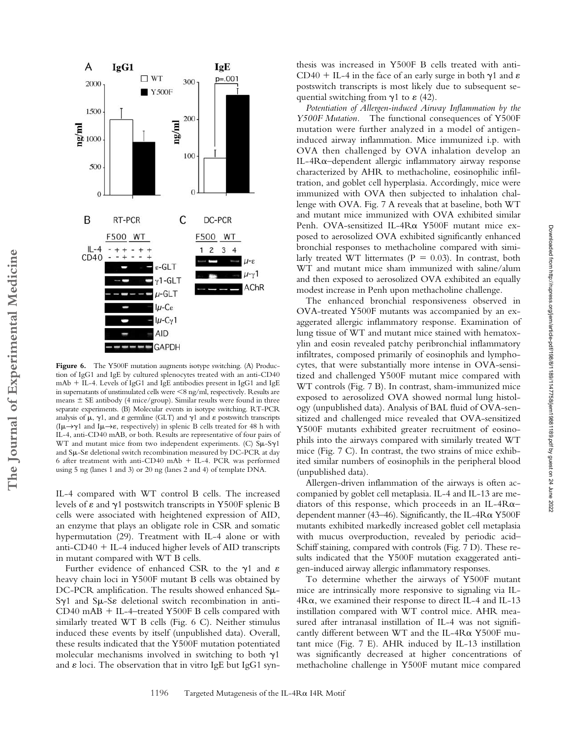

Figure 6. The Y500F mutation augments isotype switching. (A) Production of IgG1 and IgE by cultured splenocytes treated with an anti-CD40  $mAb + IL-4$ . Levels of IgG1 and IgE antibodies present in IgG1 and IgE in supernatants of unstimulated cells were 8 ng/ml, respectively. Results are means  $\pm$  SE antibody (4 mice/group). Similar results were found in three separate experiments. (B) Molecular events in isotype switching. RT-PCR analysis of  $\mu$ ,  $\gamma$ 1, and  $\varepsilon$  germline (GLT) and  $\gamma$ 1 and  $\varepsilon$  postswitch transcripts  $(I\mu \rightarrow \gamma 1$  and  $I\mu \rightarrow \varepsilon$ , respectively) in splenic B cells treated for 48 h with IL-4, anti-CD40 mAB, or both. Results are representative of four pairs of WT and mutant mice from two independent experiments. (C)  $S\mu$ -S $\gamma$ 1 and  $S\mu$ -S $\varepsilon$  deletional switch recombination measured by DC-PCR at day 6 after treatment with anti-CD40 mAb  $+$  IL-4. PCR was performed using 5 ng (lanes 1 and 3) or 20 ng (lanes 2 and 4) of template DNA.

**The Journal of Experimental Medicine**

The Journal of Experimental Medicine

IL-4 compared with WT control B cells. The increased levels of  $\varepsilon$  and  $\gamma$ 1 postswitch transcripts in Y500F splenic B cells were associated with heightened expression of AID, an enzyme that plays an obligate role in CSR and somatic hypermutation (29). Treatment with IL-4 alone or with anti-CD40  $+$  IL-4 induced higher levels of AID transcripts in mutant compared with WT B cells.

Further evidence of enhanced CSR to the  $\gamma$ 1 and  $\varepsilon$ heavy chain loci in Y500F mutant B cells was obtained by  $DC-PCR$  amplification. The results showed enhanced  $S\mu$ - $Sy1$  and  $S\mu-S\epsilon$  deletional switch recombination in anti- $CD40$  mAB  $+$  IL-4–treated Y500F B cells compared with similarly treated WT B cells (Fig. 6 C). Neither stimulus induced these events by itself (unpublished data). Overall, these results indicated that the Y500F mutation potentiated molecular mechanisms involved in switching to both  $\gamma$ 1 and  $\varepsilon$  loci. The observation that in vitro IgE but IgG1 synthesis was increased in Y500F B cells treated with anti-CD40 + IL-4 in the face of an early surge in both  $\gamma$ 1 and  $\varepsilon$ postswitch transcripts is most likely due to subsequent sequential switching from  $\gamma$ 1 to  $\varepsilon$  (42).

*Potentiation of Allergen-induced Airway Inflammation by the Y500F Mutation.* The functional consequences of Y500F mutation were further analyzed in a model of antigeninduced airway inflammation. Mice immunized i.p. with OVA then challenged by OVA inhalation develop an IL-4R $\alpha$ -dependent allergic inflammatory airway response characterized by AHR to methacholine, eosinophilic infiltration, and goblet cell hyperplasia. Accordingly, mice were immunized with OVA then subjected to inhalation challenge with OVA. Fig. 7 A reveals that at baseline, both WT and mutant mice immunized with OVA exhibited similar Penh. OVA-sensitized IL-4R $\alpha$  Y500F mutant mice exposed to aerosolized OVA exhibited significantly enhanced bronchial responses to methacholine compared with similarly treated WT littermates  $(P = 0.03)$ . In contrast, both WT and mutant mice sham immunized with saline/alum and then exposed to aerosolized OVA exhibited an equally modest increase in Penh upon methacholine challenge.

The enhanced bronchial responsiveness observed in OVA-treated Y500F mutants was accompanied by an exaggerated allergic inflammatory response. Examination of lung tissue of WT and mutant mice stained with hematoxylin and eosin revealed patchy peribronchial inflammatory infiltrates, composed primarily of eosinophils and lymphocytes, that were substantially more intense in OVA-sensitized and challenged Y500F mutant mice compared with WT controls (Fig. 7 B). In contrast, sham-immunized mice exposed to aerosolized OVA showed normal lung histology (unpublished data). Analysis of BAL fluid of OVA-sensitized and challenged mice revealed that OVA-sensitized Y500F mutants exhibited greater recruitment of eosinophils into the airways compared with similarly treated WT mice (Fig. 7 C). In contrast, the two strains of mice exhibited similar numbers of eosinophils in the peripheral blood (unpublished data).

Allergen-driven inflammation of the airways is often accompanied by goblet cell metaplasia. IL-4 and IL-13 are mediators of this response, which proceeds in an IL-4R $\alpha$ dependent manner (43-46). Significantly, the IL-4R& Y500F mutants exhibited markedly increased goblet cell metaplasia with mucus overproduction, revealed by periodic acid– Schiff staining, compared with controls (Fig. 7 D). These results indicated that the Y500F mutation exaggerated antigen-induced airway allergic inflammatory responses.

To determine whether the airways of Y500F mutant mice are intrinsically more responsive to signaling via IL- $4R\alpha$ , we examined their response to direct IL-4 and IL-13 instillation compared with WT control mice. AHR measured after intranasal instillation of IL-4 was not significantly different between WT and the IL-4 $R\alpha$  Y500F mutant mice (Fig. 7 E). AHR induced by IL-13 instillation was significantly decreased at higher concentrations of methacholine challenge in Y500F mutant mice compared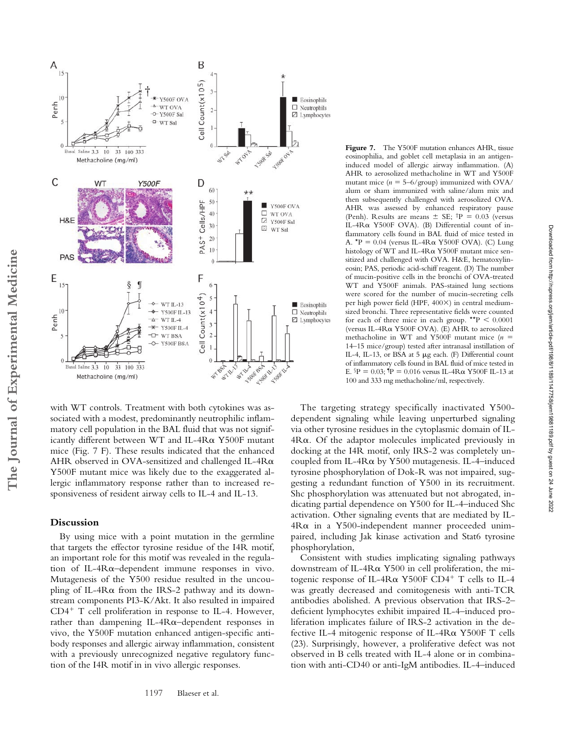

with WT controls. Treatment with both cytokines was associated with a modest, predominantly neutrophilic inflammatory cell population in the BAL fluid that was not significantly different between WT and IL- $4R\alpha$  Y500F mutant mice (Fig. 7 F). These results indicated that the enhanced AHR observed in OVA-sensitized and challenged IL-4R $\alpha$ Y500F mutant mice was likely due to the exaggerated allergic inflammatory response rather than to increased responsiveness of resident airway cells to IL-4 and IL-13.

## **Discussion**

By using mice with a point mutation in the germline that targets the effector tyrosine residue of the I4R motif, an important role for this motif was revealed in the regulation of IL-4R $\alpha$ -dependent immune responses in vivo. Mutagenesis of the Y500 residue resulted in the uncoupling of IL-4 $R\alpha$  from the IRS-2 pathway and its downstream components PI3-K/Akt. It also resulted in impaired  $CD4^+$  T cell proliferation in response to IL-4. However,  $r$ ather than dampening IL-4 $R\alpha$ -dependent responses in vivo, the Y500F mutation enhanced antigen-specific antibody responses and allergic airway inflammation, consistent with a previously unrecognized negative regulatory function of the I4R motif in in vivo allergic responses.

Figure 7. The Y500F mutation enhances AHR, tissue eosinophilia, and goblet cell metaplasia in an antigeninduced model of allergic airway inflammation. (A) AHR to aerosolized methacholine in WT and Y500F mutant mice  $(n = 5-6/$ group) immunized with OVA alum or sham immunized with saline/alum mix and then subsequently challenged with aerosolized OVA. AHR was assessed by enhanced respiratory pause (Penh). Results are means  $\pm$  SE;  $\text{tP} = 0.03$  (versus IL-4R $\alpha$  Y500F OVA). (B) Differential count of inflammatory cells found in BAL fluid of mice tested in A.  $^{\star}P = 0.04$  (versus IL-4R $\alpha$  Y500F OVA). (C) Lung histology of WT and IL-4R& Y500F mutant mice sensitized and challenged with OVA. H&E, hematoxylineosin; PAS, periodic acid-schiff reagent. (D) The number of mucin-positive cells in the bronchi of OVA-treated WT and Y500F animals. PAS-stained lung sections were scored for the number of mucin-secreting cells per high power field (HPF, 400×) in central mediumsized bronchi. Three representative fields were counted for each of three mice in each group.  $**P < 0.0001$ (versus IL-4R& Y500F OVA). (E) AHR to aerosolized methacholine in WT and Y500F mutant mice  $(n =$ 14–15 mice/group) tested after intranasal instillation of IL-4, IL-13, or BSA at 5 µg each. (F) Differential count of inflammatory cells found in BAL fluid of mice tested in E.  $P = 0.03$ ;  $P = 0.016$  versus IL-4R $\alpha$  Y500F IL-13 at 100 and 333 mg methacholine/ml, respectively.

The targeting strategy specifically inactivated Y500 dependent signaling while leaving unperturbed signaling via other tyrosine residues in the cytoplasmic domain of IL- $4R\alpha$ . Of the adaptor molecules implicated previously in docking at the I4R motif, only IRS-2 was completely uncoupled from IL-4R $\alpha$  by Y500 mutagenesis. IL-4-induced tyrosine phosphorylation of Dok-R was not impaired, suggesting a redundant function of Y500 in its recruitment. Shc phosphorylation was attenuated but not abrogated, indicating partial dependence on Y500 for IL-4–induced Shc activation. Other signaling events that are mediated by IL- $4R\alpha$  in a Y500-independent manner proceeded unimpaired, including Jak kinase activation and Stat6 tyrosine phosphorylation,

Consistent with studies implicating signaling pathways downstream of IL-4R $\alpha$  Y500 in cell proliferation, the mitogenic response of IL-4R $\alpha$  Y500F CD4<sup>+</sup> T cells to IL-4 was greatly decreased and comitogenesis with anti-TCR antibodies abolished. A previous observation that IRS-2– deficient lymphocytes exhibit impaired IL-4–induced proliferation implicates failure of IRS-2 activation in the defective IL-4 mitogenic response of IL-4R $\alpha$  Y500F T cells (23). Surprisingly, however, a proliferative defect was not observed in B cells treated with IL-4 alone or in combination with anti-CD40 or anti-IgM antibodies. IL-4–induced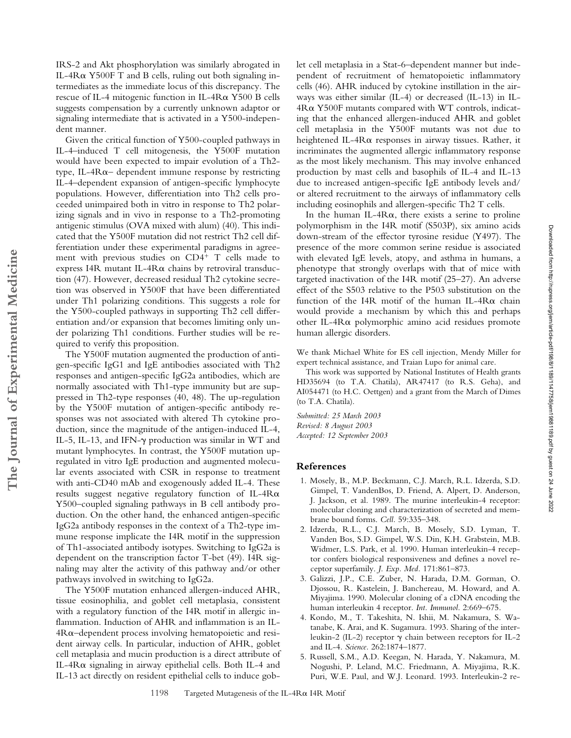IRS-2 and Akt phosphorylation was similarly abrogated in IL-4R& Y500F T and B cells, ruling out both signaling intermediates as the immediate locus of this discrepancy. The rescue of IL-4 mitogenic function in IL-4R $\alpha$  Y500 B cells suggests compensation by a currently unknown adaptor or signaling intermediate that is activated in a Y500-independent manner.

Given the critical function of Y500-coupled pathways in IL-4–induced T cell mitogenesis, the Y500F mutation would have been expected to impair evolution of a Th2 type, IL-4 $R\alpha$  dependent immune response by restricting IL-4–dependent expansion of antigen-specific lymphocyte populations. However, differentiation into Th2 cells proceeded unimpaired both in vitro in response to Th2 polarizing signals and in vivo in response to a Th2-promoting antigenic stimulus (OVA mixed with alum) (40). This indicated that the Y500F mutation did not restrict Th2 cell differentiation under these experimental paradigms in agreement with previous studies on  $CD4^+$  T cells made to express I4R mutant IL-4R $\alpha$  chains by retroviral transduction (47). However, decreased residual Th2 cytokine secretion was observed in Y500F that have been differentiated under Th1 polarizing conditions. This suggests a role for the Y500-coupled pathways in supporting Th2 cell differentiation and/or expansion that becomes limiting only under polarizing Th1 conditions. Further studies will be required to verify this proposition.

The Y500F mutation augmented the production of antigen-specific IgG1 and IgE antibodies associated with Th2 responses and antigen-specific IgG2a antibodies, which are normally associated with Th1-type immunity but are suppressed in Th2-type responses (40, 48). The up-regulation by the Y500F mutation of antigen-specific antibody responses was not associated with altered Th cytokine production, since the magnitude of the antigen-induced IL-4, IL-5, IL-13, and IFN- $\gamma$  production was similar in WT and mutant lymphocytes. In contrast, the Y500F mutation upregulated in vitro IgE production and augmented molecular events associated with CSR in response to treatment with anti-CD40 mAb and exogenously added IL-4. These results suggest negative regulatory function of IL-4R $\alpha$ Y500–coupled signaling pathways in B cell antibody production. On the other hand, the enhanced antigen-specific IgG2a antibody responses in the context of a Th2-type immune response implicate the I4R motif in the suppression of Th1-associated antibody isotypes. Switching to IgG2a is dependent on the transcription factor T-bet (49). I4R signaling may alter the activity of this pathway and/or other pathways involved in switching to IgG2a.

The Y500F mutation enhanced allergen-induced AHR, tissue eosinophilia, and goblet cell metaplasia, consistent with a regulatory function of the I4R motif in allergic inflammation. Induction of AHR and inflammation is an IL- $4R\alpha$ -dependent process involving hematopoietic and resident airway cells. In particular, induction of AHR, goblet cell metaplasia and mucin production is a direct attribute of IL-4R& signaling in airway epithelial cells. Both IL-4 and IL-13 act directly on resident epithelial cells to induce goblet cell metaplasia in a Stat-6–dependent manner but independent of recruitment of hematopoietic inflammatory cells (46). AHR induced by cytokine instillation in the airways was either similar (IL-4) or decreased (IL-13) in IL- $4R\alpha$  Y500F mutants compared with WT controls, indicating that the enhanced allergen-induced AHR and goblet cell metaplasia in the Y500F mutants was not due to heightened IL-4 $R\alpha$  responses in airway tissues. Rather, it incriminates the augmented allergic inflammatory response as the most likely mechanism. This may involve enhanced production by mast cells and basophils of IL-4 and IL-13 due to increased antigen-specific IgE antibody levels and/ or altered recruitment to the airways of inflammatory cells including eosinophils and allergen-specific Th2 T cells.

In the human IL-4R $\alpha$ , there exists a serine to proline polymorphism in the I4R motif (S503P), six amino acids down-stream of the effector tyrosine residue (Y497). The presence of the more common serine residue is associated with elevated IgE levels, atopy, and asthma in humans, a phenotype that strongly overlaps with that of mice with targeted inactivation of the I4R motif (25–27). An adverse effect of the S503 relative to the P503 substitution on the function of the I4R motif of the human IL-4R $\alpha$  chain would provide a mechanism by which this and perhaps other IL-4R $\alpha$  polymorphic amino acid residues promote human allergic disorders.

We thank Michael White for ES cell injection, Mendy Miller for expert technical assistance, and Traian Lupo for animal care.

This work was supported by National Institutes of Health grants HD35694 (to T.A. Chatila), AR47417 (to R.S. Geha), and AI054471 (to H.C. Oettgen) and a grant from the March of Dimes (to T.A. Chatila).

*Submitted: 25 March 2003 Revised: 8 August 2003 Accepted: 12 September 2003*

## **References**

- 1. Mosely, B., M.P. Beckmann, C.J. March, R.L. Idzerda, S.D. Gimpel, T. VandenBos, D. Friend, A. Alpert, D. Anderson, J. Jackson, et al. 1989. The murine interleukin-4 receptor: molecular cloning and characterization of secreted and membrane bound forms. *Cell.* 59:335–348.
- 2. Idzerda, R.L., C.J. March, B. Mosely, S.D. Lyman, T. Vanden Bos, S.D. Gimpel, W.S. Din, K.H. Grabstein, M.B. Widmer, L.S. Park, et al. 1990. Human interleukin-4 receptor confers biological responsiveness and defines a novel receptor superfamily. *J. Exp. Med.* 171:861–873.
- 3. Galizzi, J.P., C.E. Zuber, N. Harada, D.M. Gorman, O. Djossou, R. Kastelein, J. Banchereau, M. Howard, and A. Miyajima. 1990. Molecular cloning of a cDNA encoding the human interleukin 4 receptor. *Int. Immunol.* 2:669–675.
- 4. Kondo, M., T. Takeshita, N. Ishii, M. Nakamura, S. Watanabe, K. Arai, and K. Sugamura. 1993. Sharing of the interleukin-2 (IL-2) receptor  $\gamma$  chain between receptors for IL-2 and IL-4. *Science.* 262:1874–1877.
- 5. Russell, S.M., A.D. Keegan, N. Harada, Y. Nakamura, M. Nogushi, P. Leland, M.C. Friedmann, A. Miyajima, R.K. Puri, W.E. Paul, and W.J. Leonard. 1993. Interleukin-2 re-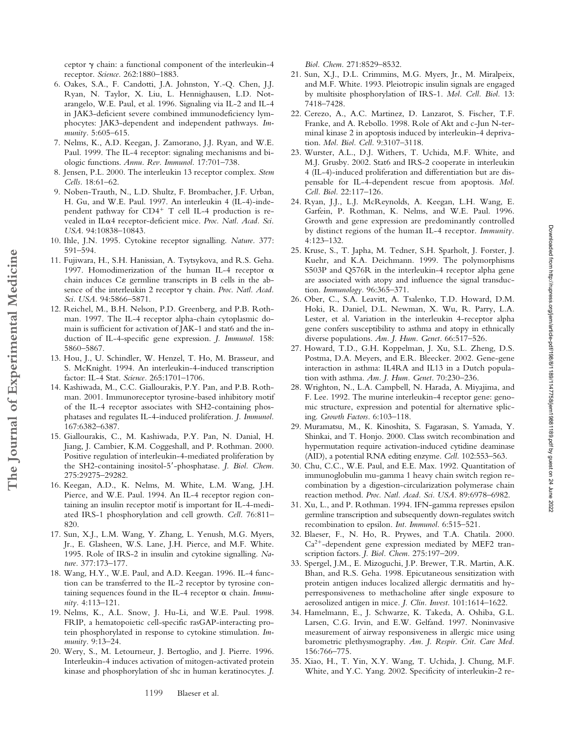ceptor  $\gamma$  chain: a functional component of the interleukin-4 receptor. *Science.* 262:1880–1883.

- 6. Oakes, S.A., F. Candotti, J.A. Johnston, Y.-Q. Chen, J.J. Ryan, N. Taylor, X. Liu, L. Hennighausen, L.D. Notarangelo, W.E. Paul, et al. 1996. Signaling via IL-2 and IL-4 in JAK3-deficient severe combined immunodeficiency lymphocytes: JAK3-dependent and independent pathways. *Immunity.* 5:605–615.
- 7. Nelms, K., A.D. Keegan, J. Zamorano, J.J. Ryan, and W.E. Paul. 1999. The IL-4 receptor: signaling mechanisms and biologic functions. *Annu. Rev. Immunol.* 17:701–738.
- 8. Jensen, P.L. 2000. The interleukin 13 receptor complex. *Stem Cells.* 18:61–62.
- 9. Noben-Trauth, N., L.D. Shultz, F. Brombacher, J.F. Urban, H. Gu, and W.E. Paul. 1997. An interleukin 4 (IL-4)-independent pathway for  $CD4^+$  T cell IL-4 production is revealed in IL $\alpha$ 4 receptor-deficient mice. Proc. Natl. Acad. Sci. *USA.* 94:10838–10843.
- 10. Ihle, J.N. 1995. Cytokine receptor signalling. *Nature.* 377: 591–594.
- 11. Fujiwara, H., S.H. Hanissian, A. Tsytsykova, and R.S. Geha. 1997. Homodimerization of the human IL-4 receptor  $\alpha$ chain induces  $C\epsilon$  germline transcripts in B cells in the absence of the interleukin 2 receptor  $\gamma$  chain. *Proc. Natl. Acad. Sci. USA.* 94:5866–5871.
- 12. Reichel, M., B.H. Nelson, P.D. Greenberg, and P.B. Rothman. 1997. The IL-4 receptor alpha-chain cytoplasmic domain is sufficient for activation of JAK-1 and stat6 and the induction of IL-4-specific gene expression. *J. Immunol.* 158: 5860–5867.
- 13. Hou, J., U. Schindler, W. Henzel, T. Ho, M. Brasseur, and S. McKnight. 1994. An interleukin-4-induced transcription factor: IL-4 Stat. *Science.* 265:1701–1706.

**The Journal of Experimental Medicine**

The Journal of Experimental Medicine

- 14. Kashiwada, M., C.C. Giallourakis, P.Y. Pan, and P.B. Rothman. 2001. Immunoreceptor tyrosine-based inhibitory motif of the IL-4 receptor associates with SH2-containing phosphatases and regulates IL-4-induced proliferation. *J. Immunol.* 167:6382–6387.
- 15. Giallourakis, C., M. Kashiwada, P.Y. Pan, N. Danial, H. Jiang, J. Cambier, K.M. Coggeshall, and P. Rothman. 2000. Positive regulation of interleukin-4-mediated proliferation by the SH2-containing inositol-5-phosphatase. *J. Biol. Chem.* 275:29275–29282.
- 16. Keegan, A.D., K. Nelms, M. White, L.M. Wang, J.H. Pierce, and W.E. Paul. 1994. An IL-4 receptor region containing an insulin receptor motif is important for IL-4-mediated IRS-1 phosphorylation and cell growth. *Cell.* 76:811– 820.
- 17. Sun, X.J., L.M. Wang, Y. Zhang, L. Yenush, M.G. Myers, Jr., E. Glasheen, W.S. Lane, J.H. Pierce, and M.F. White. 1995. Role of IRS-2 in insulin and cytokine signalling. *Nature.* 377:173–177.
- 18. Wang, H.Y., W.E. Paul, and A.D. Keegan. 1996. IL-4 function can be transferred to the IL-2 receptor by tyrosine containing sequences found in the IL-4 receptor  $\alpha$  chain. *Immunity.* 4:113–121.
- 19. Nelms, K., A.L. Snow, J. Hu-Li, and W.E. Paul. 1998. FRIP, a hematopoietic cell-specific rasGAP-interacting protein phosphorylated in response to cytokine stimulation. *Immunity.* 9:13–24.
- 20. Wery, S., M. Letourneur, J. Bertoglio, and J. Pierre. 1996. Interleukin-4 induces activation of mitogen-activated protein kinase and phosphorylation of shc in human keratinocytes. *J.*

*Biol. Chem.* 271:8529–8532.

- 21. Sun, X.J., D.L. Crimmins, M.G. Myers, Jr., M. Miralpeix, and M.F. White. 1993. Pleiotropic insulin signals are engaged by multisite phosphorylation of IRS-1. *Mol. Cell. Biol.* 13: 7418–7428.
- 22. Cerezo, A., A.C. Martinez, D. Lanzarot, S. Fischer, T.F. Franke, and A. Rebollo. 1998. Role of Akt and c-Jun N-terminal kinase 2 in apoptosis induced by interleukin-4 deprivation. *Mol. Biol. Cell.* 9:3107–3118.
- 23. Wurster, A.L., D.J. Withers, T. Uchida, M.F. White, and M.J. Grusby. 2002. Stat6 and IRS-2 cooperate in interleukin 4 (IL-4)-induced proliferation and differentiation but are dispensable for IL-4-dependent rescue from apoptosis. *Mol. Cell. Biol.* 22:117–126.
- 24. Ryan, J.J., L.J. McReynolds, A. Keegan, L.H. Wang, E. Garfein, P. Rothman, K. Nelms, and W.E. Paul. 1996. Growth and gene expression are predominantly controlled by distinct regions of the human IL-4 receptor. *Immunity.* 4:123–132.
- 25. Kruse, S., T. Japha, M. Tedner, S.H. Sparholt, J. Forster, J. Kuehr, and K.A. Deichmann. 1999. The polymorphisms S503P and Q576R in the interleukin-4 receptor alpha gene are associated with atopy and influence the signal transduction. *Immunology.* 96:365–371.
- 26. Ober, C., S.A. Leavitt, A. Tsalenko, T.D. Howard, D.M. Hoki, R. Daniel, D.L. Newman, X. Wu, R. Parry, L.A. Lester, et al. Variation in the interleukin 4-receptor alpha gene confers susceptibility to asthma and atopy in ethnically diverse populations. *Am. J. Hum. Genet.* 66:517–526.
- 27. Howard, T.D., G.H. Koppelman, J. Xu, S.L. Zheng, D.S. Postma, D.A. Meyers, and E.R. Bleecker. 2002. Gene-gene interaction in asthma: IL4RA and IL13 in a Dutch population with asthma. *Am. J. Hum. Genet.* 70:230–236.
- 28. Wrighton, N., L.A. Campbell, N. Harada, A. Miyajima, and F. Lee. 1992. The murine interleukin-4 receptor gene: genomic structure, expression and potential for alternative splicing. *Growth Factors.* 6:103–118.
- 29. Muramatsu, M., K. Kinoshita, S. Fagarasan, S. Yamada, Y. Shinkai, and T. Honjo. 2000. Class switch recombination and hypermutation require activation-induced cytidine deaminase (AID), a potential RNA editing enzyme. *Cell.* 102:553–563.
- 30. Chu, C.C., W.E. Paul, and E.E. Max. 1992. Quantitation of immunoglobulin mu-gamma 1 heavy chain switch region recombination by a digestion-circularization polymerase chain reaction method. *Proc. Natl. Acad. Sci. USA.* 89:6978–6982.
- 31. Xu, L., and P. Rothman. 1994. IFN-gamma represses epsilon germline transcription and subsequently down-regulates switch recombination to epsilon. *Int. Immunol.* 6:515–521.
- 32. Blaeser, F., N. Ho, R. Prywes, and T.A. Chatila. 2000.  $Ca<sup>2+</sup>$ -dependent gene expression mediated by MEF2 transcription factors. *J. Biol. Chem.* 275:197–209.
- 33. Spergel, J.M., E. Mizoguchi, J.P. Brewer, T.R. Martin, A.K. Bhan, and R.S. Geha. 1998. Epicutaneous sensitization with protein antigen induces localized allergic dermatitis and hyperresponsiveness to methacholine after single exposure to aerosolized antigen in mice. *J. Clin. Invest.* 101:1614–1622.
- 34. Hamelmann, E., J. Schwarze, K. Takeda, A. Oshiba, G.L. Larsen, C.G. Irvin, and E.W. Gelfand. 1997. Noninvasive measurement of airway responsiveness in allergic mice using barometric plethysmography. *Am. J. Respir. Crit. Care Med.* 156:766–775.
- 35. Xiao, H., T. Yin, X.Y. Wang, T. Uchida, J. Chung, M.F. White, and Y.C. Yang. 2002. Specificity of interleukin-2 re-